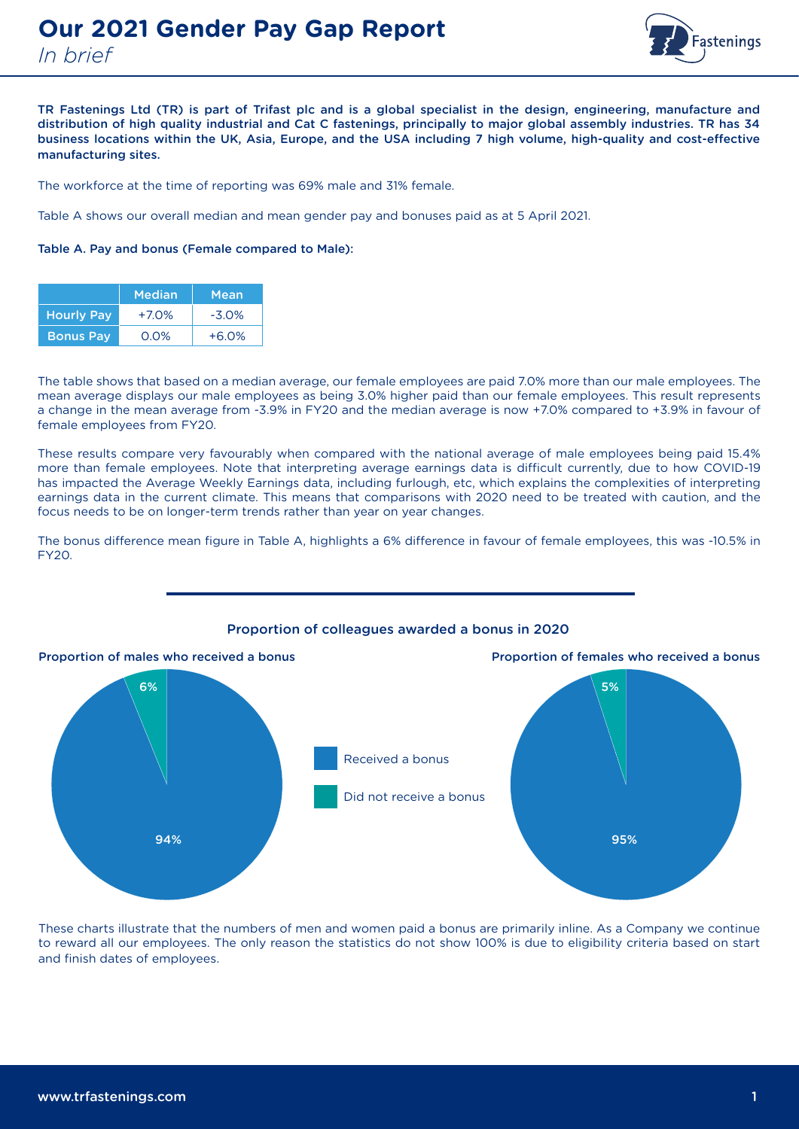

TR Fastenings Ltd (TR) is part of Trifast plc and is a global specialist in the design, engineering, manufacture and distribution of high quality industrial and Cat C fastenings, principally to major global assembly industries. TR has 34 business locations within the UK, Asia, Europe, and the USA including 7 high volume, high-quality and cost-effective manufacturing sites.

The workforce at the time of reporting was 69% male and 31% female.

Table A shows our overall median and mean gender pay and bonuses paid as at 5 April 2021.

## Table A. Pay and bonus (Female compared to Male):

|                   | <b>Median</b> | Mean     |
|-------------------|---------------|----------|
| <b>Hourly Pay</b> | $+7.0%$       | $-3.0\%$ |
| <b>Bonus Pay</b>  | $0.0\%$       | $+6.0%$  |

The table shows that based on a median average, our female employees are paid 7.0% more than our male employees. The mean average displays our male employees as being 3.0% higher paid than our female employees. This result represents a change in the mean average from -3.9% in FY20 and the median average is now +7.0% compared to +3.9% in favour of female employees from FY20.

These results compare very favourably when compared with the national average of male employees being paid 15.4% more than female employees. Note that interpreting average earnings data is difficult currently, due to how COVID-19 has impacted the Average Weekly Earnings data, including furlough, etc, which explains the complexities of interpreting earnings data in the current climate. This means that comparisons with 2020 need to be treated with caution, and the focus needs to be on longer-term trends rather than year on year changes.

The bonus difference mean figure in Table A, highlights a 6% difference in favour of female employees, this was -10.5% in FY20.



## Proportion of colleagues awarded a bonus in 2020

These charts illustrate that the numbers of men and women paid a bonus are primarily inline. As a Company we continue to reward all our employees. The only reason the statistics do not show 100% is due to eligibility criteria based on start and finish dates of employees.